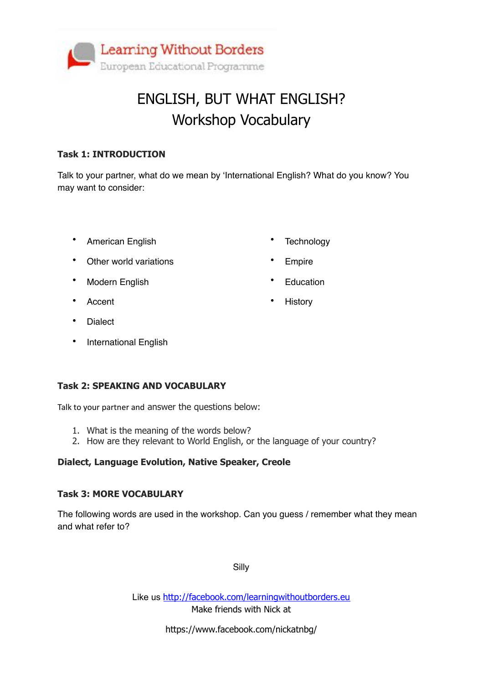

## ENGLISH, BUT WHAT ENGLISH? Workshop Vocabulary

#### **Task 1: INTRODUCTION**

Talk to your partner, what do we mean by 'International English? What do you know? You may want to consider:

• American English

**Technology** 

**Empire** 

**History** 

**Education** 

- Other world variations
- Modern English
- Accent
- Dialect
- International English

#### **Task 2: SPEAKING AND VOCABULARY**

Talk to your partner and answer the questions below:

- 1. What is the meaning of the words below?
- 2. How are they relevant to World English, or the language of your country?

#### **Dialect, Language Evolution, Native Speaker, Creole**

#### **Task 3: MORE VOCABULARY**

The following words are used in the workshop. Can you guess / remember what they mean and what refer to?

Silly

Like us <http://facebook.com/learningwithoutborders.eu> Make friends with Nick at

https://www.facebook.com/nickatnbg/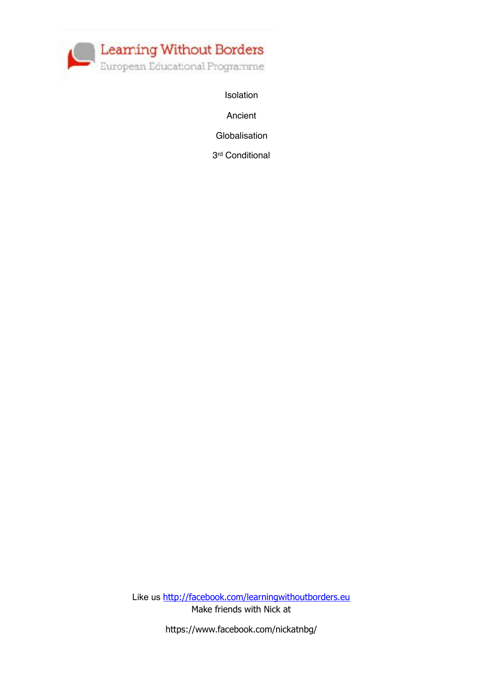

Isolation

Ancient

Globalisation

3rd Conditional

Like us <http://facebook.com/learningwithoutborders.eu> Make friends with Nick at

https://www.facebook.com/nickatnbg/